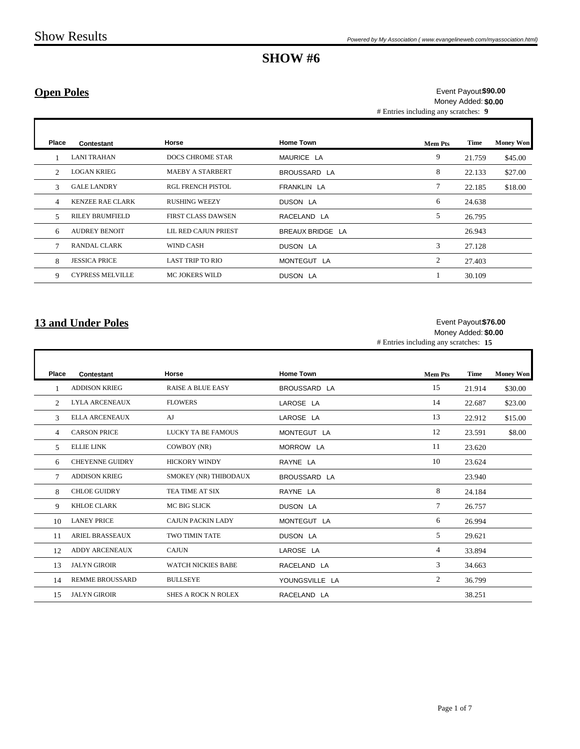## **Open Poles**

# Entries including any scratches: **9 \$90.00** Event Payout: Money Added: **\$0.00**

| Place                       | Contestant              | Horse                     | <b>Home Town</b> | <b>Mem Pts</b> | Time   | <b>Money Won</b> |
|-----------------------------|-------------------------|---------------------------|------------------|----------------|--------|------------------|
|                             | <b>LANI TRAHAN</b>      | <b>DOCS CHROME STAR</b>   | MAURICE LA       | 9              | 21.759 | \$45.00          |
| $\mathcal{D}_{\mathcal{L}}$ | <b>LOGAN KRIEG</b>      | <b>MAEBY A STARBERT</b>   | BROUSSARD LA     | 8              | 22.133 | \$27.00          |
| $\mathcal{R}$               | <b>GALE LANDRY</b>      | <b>RGL FRENCH PISTOL</b>  | FRANKLIN LA      | 7              | 22.185 | \$18.00          |
| $\overline{4}$              | <b>KENZEE RAE CLARK</b> | <b>RUSHING WEEZY</b>      | <b>DUSON LA</b>  | 6              | 24.638 |                  |
| 5                           | <b>RILEY BRUMFIELD</b>  | <b>FIRST CLASS DAWSEN</b> | RACELAND LA      | 5              | 26.795 |                  |
| 6                           | <b>AUDREY BENOIT</b>    | LIL RED CAJUN PRIEST      | BREAUX BRIDGE LA |                | 26.943 |                  |
|                             | <b>RANDAL CLARK</b>     | <b>WIND CASH</b>          | DUSON LA         | 3              | 27.128 |                  |
| 8                           | <b>JESSICA PRICE</b>    | <b>LAST TRIP TO RIO</b>   | MONTEGUT LA      | 2              | 27.403 |                  |
| 9                           | <b>CYPRESS MELVILLE</b> | <b>MC JOKERS WILD</b>     | DUSON LA         |                | 30.109 |                  |

### **13 and Under Poles**

 $\mathbf I$ 

#### **\$76.00** Event Payout: Money Added: **\$0.00**

# Entries including any scratches: **15**

| <b>Place</b>   | Contestant             | Horse                      | <b>Home Town</b> | <b>Mem Pts</b> | <b>Time</b> | <b>Money Won</b> |
|----------------|------------------------|----------------------------|------------------|----------------|-------------|------------------|
|                | <b>ADDISON KRIEG</b>   | <b>RAISE A BLUE EASY</b>   | BROUSSARD LA     | 15             | 21.914      | \$30.00          |
| 2              | <b>LYLA ARCENEAUX</b>  | <b>FLOWERS</b>             | LAROSE LA        | 14             | 22.687      | \$23.00          |
| 3              | <b>ELLA ARCENEAUX</b>  | AJ                         | LAROSE LA        | 13             | 22.912      | \$15.00          |
| $\overline{4}$ | <b>CARSON PRICE</b>    | <b>LUCKY TA BE FAMOUS</b>  | MONTEGUT LA      | 12             | 23.591      | \$8.00           |
| .5             | <b>ELLIE LINK</b>      | COWBOY (NR)                | MORROW LA        | 11             | 23.620      |                  |
| 6              | <b>CHEYENNE GUIDRY</b> | <b>HICKORY WINDY</b>       | RAYNE LA         | 10             | 23.624      |                  |
| 7              | <b>ADDISON KRIEG</b>   | SMOKEY (NR) THIBODAUX      | BROUSSARD LA     |                | 23.940      |                  |
| 8              | <b>CHLOE GUIDRY</b>    | TEA TIME AT SIX            | RAYNE LA         | 8              | 24.184      |                  |
| 9              | <b>KHLOE CLARK</b>     | <b>MC BIG SLICK</b>        | <b>DUSON LA</b>  | 7              | 26.757      |                  |
| 10             | <b>LANEY PRICE</b>     | <b>CAJUN PACKIN LADY</b>   | MONTEGUT LA      | 6              | 26.994      |                  |
| 11             | <b>ARIEL BRASSEAUX</b> | <b>TWO TIMIN TATE</b>      | <b>DUSON LA</b>  | 5              | 29.621      |                  |
| 12             | <b>ADDY ARCENEAUX</b>  | <b>CAJUN</b>               | LAROSE LA        | 4              | 33.894      |                  |
| 13             | <b>JALYN GIROIR</b>    | <b>WATCH NICKIES BABE</b>  | RACELAND LA      | 3              | 34.663      |                  |
| 14             | <b>REMME BROUSSARD</b> | <b>BULLSEYE</b>            | YOUNGSVILLE LA   | 2              | 36.799      |                  |
| 15             | <b>JALYN GIROIR</b>    | <b>SHES A ROCK N ROLEX</b> | RACELAND LA      |                | 38.251      |                  |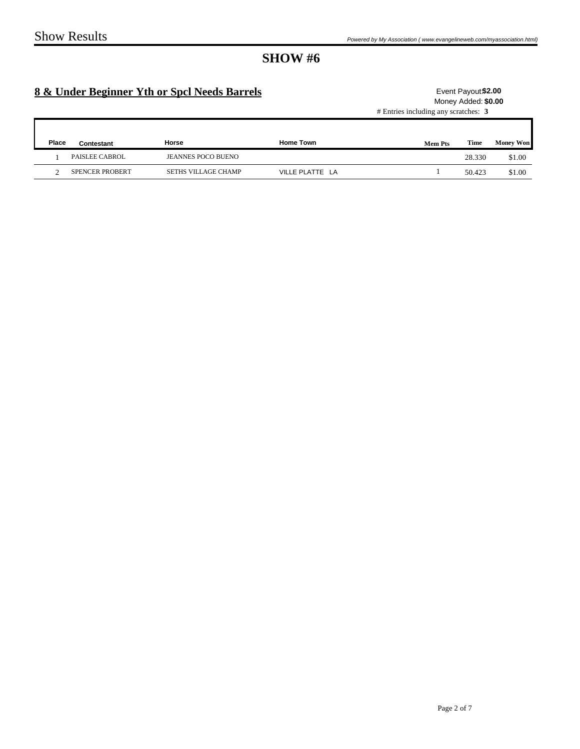# **8 & Under Beginner Yth or Spcl Needs Barrels**

### # Entries including any scratches: **3** Event Payout \$2.00 Money Added: **\$0.00**

| <b>Place</b> | Contestant             | Horse                     | <b>Home Town</b> | <b>Mem Pts</b> | Time   | <b>Money Won</b> |
|--------------|------------------------|---------------------------|------------------|----------------|--------|------------------|
|              | <b>PAISLEE CABROL</b>  | <b>JEANNES POCO BUENO</b> |                  |                | 28.330 | \$1.00           |
|              | <b>SPENCER PROBERT</b> | SETHS VILLAGE CHAMP       | VILLE PLATTE LA  |                | 50.423 | \$1.00           |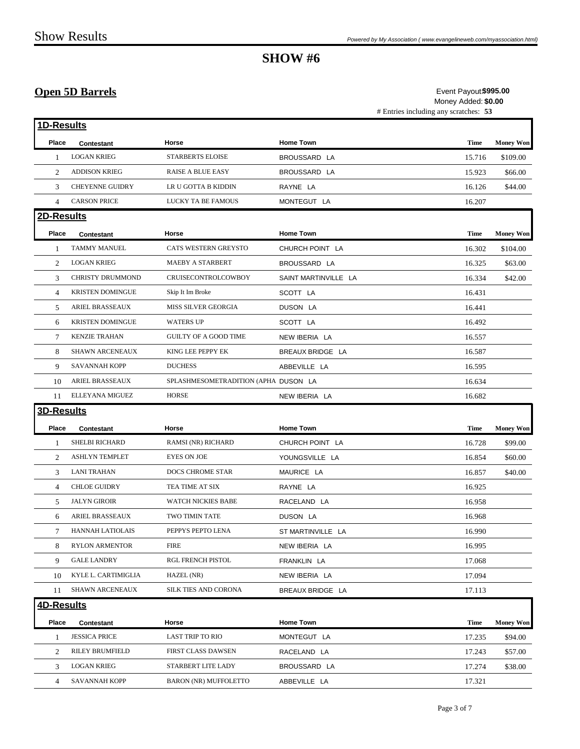## **Open 5D Barrels**

# Entries including any scratches: **53 \$995.00** Event Payout: Money Added: **\$0.00**

| 1D-Results     |                         |                                      |                      |             |                  |
|----------------|-------------------------|--------------------------------------|----------------------|-------------|------------------|
| Place          | Contestant              | Horse                                | <b>Home Town</b>     | <b>Time</b> | <b>Money Won</b> |
| 1              | <b>LOGAN KRIEG</b>      | <b>STARBERTS ELOISE</b>              | BROUSSARD LA         | 15.716      | \$109.00         |
| 2              | <b>ADDISON KRIEG</b>    | <b>RAISE A BLUE EASY</b>             | BROUSSARD LA         | 15.923      | \$66.00          |
| 3              | <b>CHEYENNE GUIDRY</b>  | LR U GOTTA B KIDDIN                  | RAYNE LA             | 16.126      | \$44.00          |
| $\overline{4}$ | <b>CARSON PRICE</b>     | LUCKY TA BE FAMOUS                   | MONTEGUT LA          | 16.207      |                  |
| 2D-Results     |                         |                                      |                      |             |                  |
| Place          | Contestant              | Horse                                | <b>Home Town</b>     | <b>Time</b> | <b>Money Won</b> |
| 1              | <b>TAMMY MANUEL</b>     | CATS WESTERN GREYSTO                 | CHURCH POINT LA      | 16.302      | \$104.00         |
| 2              | <b>LOGAN KRIEG</b>      | <b>MAEBY A STARBERT</b>              | BROUSSARD LA         | 16.325      | \$63.00          |
| 3              | CHRISTY DRUMMOND        | CRUISECONTROLCOWBOY                  | SAINT MARTINVILLE LA | 16.334      | \$42.00          |
| $\overline{4}$ | <b>KRISTEN DOMINGUE</b> | Skip It Im Broke                     | SCOTT LA             | 16.431      |                  |
| 5              | ARIEL BRASSEAUX         | MISS SILVER GEORGIA                  | DUSON LA             | 16.441      |                  |
| 6              | <b>KRISTEN DOMINGUE</b> | <b>WATERS UP</b>                     | SCOTT LA             | 16.492      |                  |
| $\tau$         | <b>KENZIE TRAHAN</b>    | <b>GUILTY OF A GOOD TIME</b>         | NEW IBERIA LA        | 16.557      |                  |
| 8              | <b>SHAWN ARCENEAUX</b>  | KING LEE PEPPY EK                    | BREAUX BRIDGE LA     | 16.587      |                  |
| 9              | <b>SAVANNAH KOPP</b>    | <b>DUCHESS</b>                       | ABBEVILLE LA         | 16.595      |                  |
| 10             | <b>ARIEL BRASSEAUX</b>  | SPLASHMESOMETRADITION (APHA DUSON LA |                      | 16.634      |                  |
| 11             | ELLEYANA MIGUEZ         | <b>HORSE</b>                         | NEW IBERIA LA        | 16.682      |                  |
| 3D-Results     |                         |                                      |                      |             |                  |
| Place          | <b>Contestant</b>       | Horse                                | <b>Home Town</b>     | <b>Time</b> | <b>Money Won</b> |
| 1              | <b>SHELBI RICHARD</b>   | RAMSI (NR) RICHARD                   | CHURCH POINT LA      | 16.728      | \$99.00          |
| 2              | <b>ASHLYN TEMPLET</b>   | <b>EYES ON JOE</b>                   | YOUNGSVILLE LA       | 16.854      | \$60.00          |
| 3              | <b>LANI TRAHAN</b>      | <b>DOCS CHROME STAR</b>              | MAURICE LA           | 16.857      | \$40.00          |
| $\overline{4}$ | <b>CHLOE GUIDRY</b>     | TEA TIME AT SIX                      | RAYNE LA             | 16.925      |                  |
| 5              | <b>JALYN GIROIR</b>     | WATCH NICKIES BABE                   | RACELAND LA          | 16.958      |                  |
| 6              | ARIEL BRASSEAUX         | TWO TIMIN TATE                       | DUSON LA             | 16.968      |                  |
| $\tau$         | <b>HANNAH LATIOLAIS</b> | PEPPYS PEPTO LENA                    | ST MARTINVILLE LA    | 16.990      |                  |
| 8              | <b>RYLON ARMENTOR</b>   | <b>FIRE</b>                          | NEW IBERIA LA        | 16.995      |                  |
| 9              | <b>GALE LANDRY</b>      | RGL FRENCH PISTOL                    | FRANKLIN LA          | 17.068      |                  |
| 10             | KYLE L. CARTIMIGLIA     | HAZEL (NR)                           | NEW IBERIA LA        | 17.094      |                  |
| 11             | SHAWN ARCENEAUX         | SILK TIES AND CORONA                 | BREAUX BRIDGE LA     | 17.113      |                  |
| 4D-Results     |                         |                                      |                      |             |                  |
| Place          | <b>Contestant</b>       | Horse                                | <b>Home Town</b>     | <b>Time</b> | <b>Money Won</b> |
| 1              | <b>JESSICA PRICE</b>    | <b>LAST TRIP TO RIO</b>              | MONTEGUT LA          | 17.235      | \$94.00          |
| 2              | RILEY BRUMFIELD         | FIRST CLASS DAWSEN                   | RACELAND LA          | 17.243      | \$57.00          |
| 3              | <b>LOGAN KRIEG</b>      | STARBERT LITE LADY                   | BROUSSARD LA         | 17.274      | \$38.00          |
| $\overline{4}$ | <b>SAVANNAH KOPP</b>    | <b>BARON (NR) MUFFOLETTO</b>         | ABBEVILLE LA         | 17.321      |                  |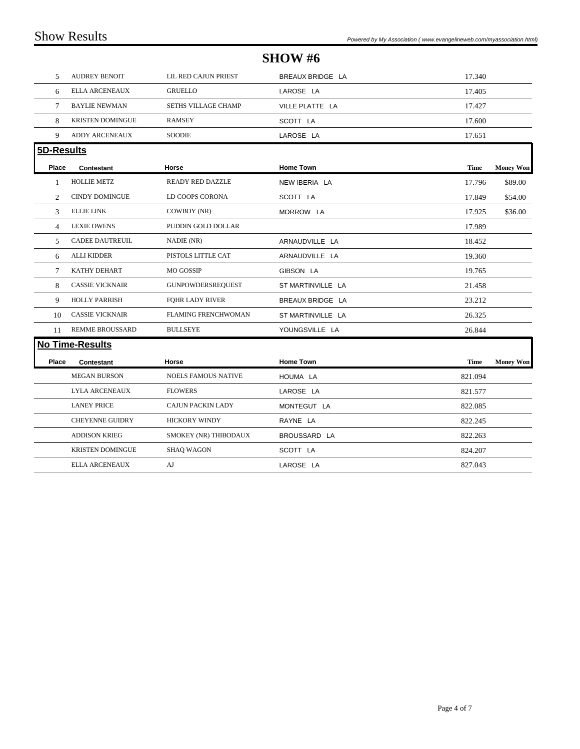## **SHOW #6** 5 AUDREY BENOIT LIL RED CAJUN PRIEST BREAUX BRIDGE LA 17.340 6 ELLA ARCENEAUX GRUELLO LAROSE LA 17.405 7 BAYLIE NEWMAN SETHS VILLAGE CHAMP VILLE PLATTE LA 17.427 8 KRISTEN DOMINGUE RAMSEY SCOTT LA 17.600 9 ADDY ARCENEAUX SOODIE LAROSE LA 17.651 **5D-Results Place Contestant Horse Home Town Time Money Won** 1 HOLLIE METZ READY RED DAZZLE NEW IBERIA LA 17.796 \$89.00 2 CINDY DOMINGUE LD COOPS CORONA SCOTT LA 17.849 \$54.00 3 ELLIE LINK COWBOY (NR) MORROW LA 17.925 \$36.00 4 LEXIE OWENS PUDDIN GOLD DOLLAR 17.989 5 CADEE DAUTREUIL NADIE (NR) ARNAUDVILLE LA 18.452 6 ALLI KIDDER PISTOLS LITTLE CAT ARNAUDVILLE LA 19.360 7 KATHY DEHART MO GOSSIP GIBSON LA 19.765 8 CASSIE VICKNAIR GUNPOWDERSREQUEST ST MARTINVILLE LA 21.458 9 HOLLY PARRISH FQHR LADY RIVER BREAUX BRIDGE LA 23.212

| 10    | <b>CASSIE VICKNAIR</b>  | <b>FLAMING FRENCHWOMAN</b> | ST MARTINVILLE LA | 26.325      |                  |  |  |  |  |  |  |
|-------|-------------------------|----------------------------|-------------------|-------------|------------------|--|--|--|--|--|--|
| 11    | <b>REMME BROUSSARD</b>  | <b>BULLSEYE</b>            | YOUNGSVILLE LA    | 26.844      |                  |  |  |  |  |  |  |
|       | <b>No Time-Results</b>  |                            |                   |             |                  |  |  |  |  |  |  |
| Place | Contestant              | Horse                      | <b>Home Town</b>  | <b>Time</b> | <b>Money Won</b> |  |  |  |  |  |  |
|       | <b>MEGAN BURSON</b>     | <b>NOELS FAMOUS NATIVE</b> | HOUMA LA          | 821.094     |                  |  |  |  |  |  |  |
|       | <b>LYLA ARCENEAUX</b>   | <b>FLOWERS</b>             | LAROSE LA         | 821.577     |                  |  |  |  |  |  |  |
|       | <b>LANEY PRICE</b>      | <b>CAJUN PACKIN LADY</b>   | MONTEGUT LA       | 822.085     |                  |  |  |  |  |  |  |
|       | <b>CHEYENNE GUIDRY</b>  | <b>HICKORY WINDY</b>       | RAYNE LA          | 822.245     |                  |  |  |  |  |  |  |
|       | <b>ADDISON KRIEG</b>    | SMOKEY (NR) THIBODAUX      | BROUSSARD LA      | 822.263     |                  |  |  |  |  |  |  |
|       | <b>KRISTEN DOMINGUE</b> | <b>SHAO WAGON</b>          | SCOTT LA          | 824.207     |                  |  |  |  |  |  |  |
|       | <b>ELLA ARCENEAUX</b>   | AJ                         | LAROSE LA         | 827.043     |                  |  |  |  |  |  |  |
|       |                         |                            |                   |             |                  |  |  |  |  |  |  |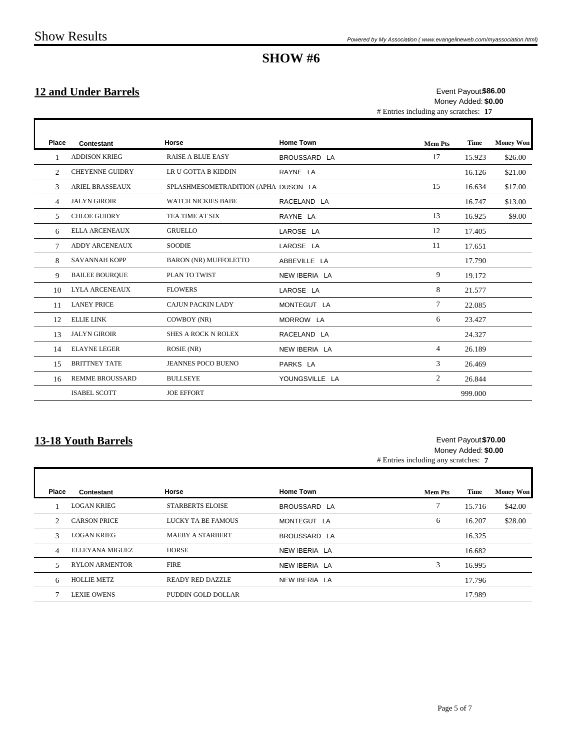$\overline{\phantom{a}}$ 

# **SHOW #6**

## **12 and Under Barrels**

# Entries including any scratches: **17 \$86.00** Event Payout: Money Added: **\$0.00**

ï

| Place          | Contestant             | Horse                                | <b>Home Town</b> | <b>Mem Pts</b> | <b>Time</b> | <b>Money Won</b> |
|----------------|------------------------|--------------------------------------|------------------|----------------|-------------|------------------|
|                | <b>ADDISON KRIEG</b>   | <b>RAISE A BLUE EASY</b>             | BROUSSARD LA     | 17             | 15.923      | \$26.00          |
| $\mathfrak{D}$ | <b>CHEYENNE GUIDRY</b> | LR U GOTTA B KIDDIN                  | RAYNE LA         |                | 16.126      | \$21.00          |
| 3              | <b>ARIEL BRASSEAUX</b> | SPLASHMESOMETRADITION (APHA DUSON LA |                  | 15             | 16.634      | \$17.00          |
| $\overline{4}$ | <b>JALYN GIROIR</b>    | <b>WATCH NICKIES BABE</b>            | RACELAND LA      |                | 16.747      | \$13.00          |
| 5              | <b>CHLOE GUIDRY</b>    | TEA TIME AT SIX                      | RAYNE LA         | 13             | 16.925      | \$9.00           |
| 6              | <b>ELLA ARCENEAUX</b>  | <b>GRUELLO</b>                       | LAROSE LA        | 12             | 17.405      |                  |
| 7              | <b>ADDY ARCENEAUX</b>  | <b>SOODIE</b>                        | LAROSE LA        | 11             | 17.651      |                  |
| 8              | <b>SAVANNAH KOPP</b>   | <b>BARON (NR) MUFFOLETTO</b>         | ABBEVILLE LA     |                | 17.790      |                  |
| 9              | <b>BAILEE BOURQUE</b>  | PLAN TO TWIST                        | NEW IBERIA LA    | 9              | 19.172      |                  |
| 10             | <b>LYLA ARCENEAUX</b>  | <b>FLOWERS</b>                       | LAROSE LA        | 8              | 21.577      |                  |
| 11             | <b>LANEY PRICE</b>     | <b>CAJUN PACKIN LADY</b>             | MONTEGUT LA      | 7              | 22.085      |                  |
| 12             | <b>ELLIE LINK</b>      | COWBOY (NR)                          | MORROW LA        | 6              | 23.427      |                  |
| 13             | <b>JALYN GIROIR</b>    | <b>SHES A ROCK N ROLEX</b>           | RACELAND LA      |                | 24.327      |                  |
| 14             | <b>ELAYNE LEGER</b>    | ROSIE (NR)                           | NEW IBERIA LA    | 4              | 26.189      |                  |
| 15             | <b>BRITTNEY TATE</b>   | <b>JEANNES POCO BUENO</b>            | PARKS LA         | 3              | 26.469      |                  |
| 16             | <b>REMME BROUSSARD</b> | <b>BULLSEYE</b>                      | YOUNGSVILLE LA   | 2              | 26.844      |                  |
|                | <b>ISABEL SCOTT</b>    | <b>JOE EFFORT</b>                    |                  |                | 999.000     |                  |

## **13-18 Youth Barrels**

### **\$70.00** Event Payout: Money Added: **\$0.00**

# Entries including any scratches: **7**

| Place         | Contestant            | Horse                   | <b>Home Town</b> | <b>Mem Pts</b> | Time   | <b>Money Won</b> |
|---------------|-----------------------|-------------------------|------------------|----------------|--------|------------------|
|               | <b>LOGAN KRIEG</b>    | <b>STARBERTS ELOISE</b> | BROUSSARD LA     | o              | 15.716 | \$42.00          |
| $\mathcal{D}$ | <b>CARSON PRICE</b>   | LUCKY TA BE FAMOUS      | MONTEGUT LA      | 6              | 16.207 | \$28.00          |
| 3             | <b>LOGAN KRIEG</b>    | <b>MAEBY A STARBERT</b> | BROUSSARD LA     |                | 16.325 |                  |
| 4             | ELLEYANA MIGUEZ       | <b>HORSE</b>            | NEW IBERIA LA    |                | 16.682 |                  |
| 5             | <b>RYLON ARMENTOR</b> | <b>FIRE</b>             | NEW IBERIA LA    | 3              | 16.995 |                  |
| 6             | <b>HOLLIE METZ</b>    | <b>READY RED DAZZLE</b> | NEW IBERIA LA    |                | 17.796 |                  |
|               | <b>LEXIE OWENS</b>    | PUDDIN GOLD DOLLAR      |                  |                | 17.989 |                  |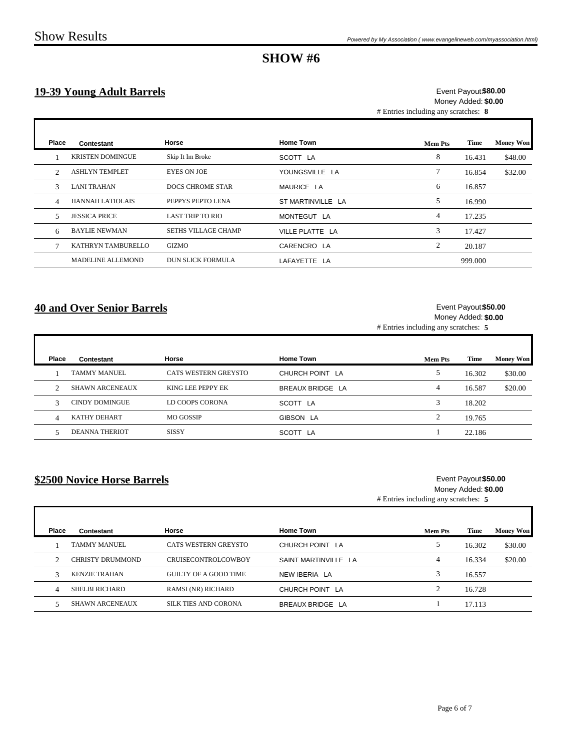# **19-39 Young Adult Barrels**

### # Entries including any scratches: **8 \$80.00** Event Payout: Money Added: **\$0.00**

| Place                         | Contestant               | Horse                      | <b>Home Town</b>  | Mem Pts | Time    | <b>Money Won</b> |
|-------------------------------|--------------------------|----------------------------|-------------------|---------|---------|------------------|
|                               | <b>KRISTEN DOMINGUE</b>  | Skip It Im Broke           | SCOTT LA          | 8       | 16.431  | \$48.00          |
| $\mathfrak{D}_{\mathfrak{p}}$ | <b>ASHLYN TEMPLET</b>    | <b>EYES ON JOE</b>         | YOUNGSVILLE LA    | 7       | 16.854  | \$32.00          |
| 3                             | <b>LANI TRAHAN</b>       | <b>DOCS CHROME STAR</b>    | MAURICE LA        | 6       | 16.857  |                  |
| $\overline{\mathcal{A}}$      | <b>HANNAH LATIOLAIS</b>  | PEPPYS PEPTO LENA          | ST MARTINVILLE LA | 5       | 16.990  |                  |
| 5                             | <b>JESSICA PRICE</b>     | <b>LAST TRIP TO RIO</b>    | MONTEGUT LA       | 4       | 17.235  |                  |
| 6                             | <b>BAYLIE NEWMAN</b>     | <b>SETHS VILLAGE CHAMP</b> | VILLE PLATTE LA   | 3       | 17.427  |                  |
|                               | KATHRYN TAMBURELLO       | <b>GIZMO</b>               | CARENCRO LA       | 2       | 20.187  |                  |
|                               | <b>MADELINE ALLEMOND</b> | <b>DUN SLICK FORMULA</b>   | LAFAYETTE LA      |         | 999.000 |                  |

### **40 and Over Senior Barrels**

### # Entries including any scratches: **5 \$50.00** Event Payout: Money Added: **\$0.00**

| Place | Contestant             | Horse                | <b>Home Town</b>     | Mem Pts | <b>Time</b> | <b>Money Won</b> |
|-------|------------------------|----------------------|----------------------|---------|-------------|------------------|
|       | <b>TAMMY MANUEL</b>    | CATS WESTERN GREYSTO | CHURCH POINT LA      |         | 16.302      | \$30.00          |
| C     | <b>SHAWN ARCENEAUX</b> | KING LEE PEPPY EK    | BREAUX BRIDGE LA     | 4       | 16.587      | \$20.00          |
|       | <b>CINDY DOMINGUE</b>  | LD COOPS CORONA      | SCOTT LA             |         | 18.202      |                  |
| 4     | KATHY DEHART           | MO GOSSIP            | GIBSON LA            | ◠       | 19.765      |                  |
|       | DEANNA THERIOT         | <b>SISSY</b>         | <b>SCOTT</b><br>∵ LA |         | 22.186      |                  |

### **\$2500 Novice Horse Barrels**

# Entries including any scratches: **5** Event Payout \$50.00 Money Added: **\$0.00**

| Place | Contestant              | Horse                       | <b>Home Town</b>     | Mem Pts | Time   | <b>Money Won</b> |
|-------|-------------------------|-----------------------------|----------------------|---------|--------|------------------|
|       | <b>TAMMY MANUEL</b>     | CATS WESTERN GREYSTO        | CHURCH POINT LA      |         | 16.302 | \$30.00          |
|       | <b>CHRISTY DRUMMOND</b> | CRUISECONTROLCOWBOY         | SAINT MARTINVILLE LA | 4       | 16.334 | \$20.00          |
|       | <b>KENZIE TRAHAN</b>    | GUILTY OF A GOOD TIME       | NEW IBERIA LA        |         | 16.557 |                  |
|       | <b>SHELBI RICHARD</b>   | <b>RAMSI (NR) RICHARD</b>   | CHURCH POINT LA      |         | 16.728 |                  |
|       | <b>SHAWN ARCENEAUX</b>  | <b>SILK TIES AND CORONA</b> | BREAUX BRIDGE LA     |         | 17.113 |                  |